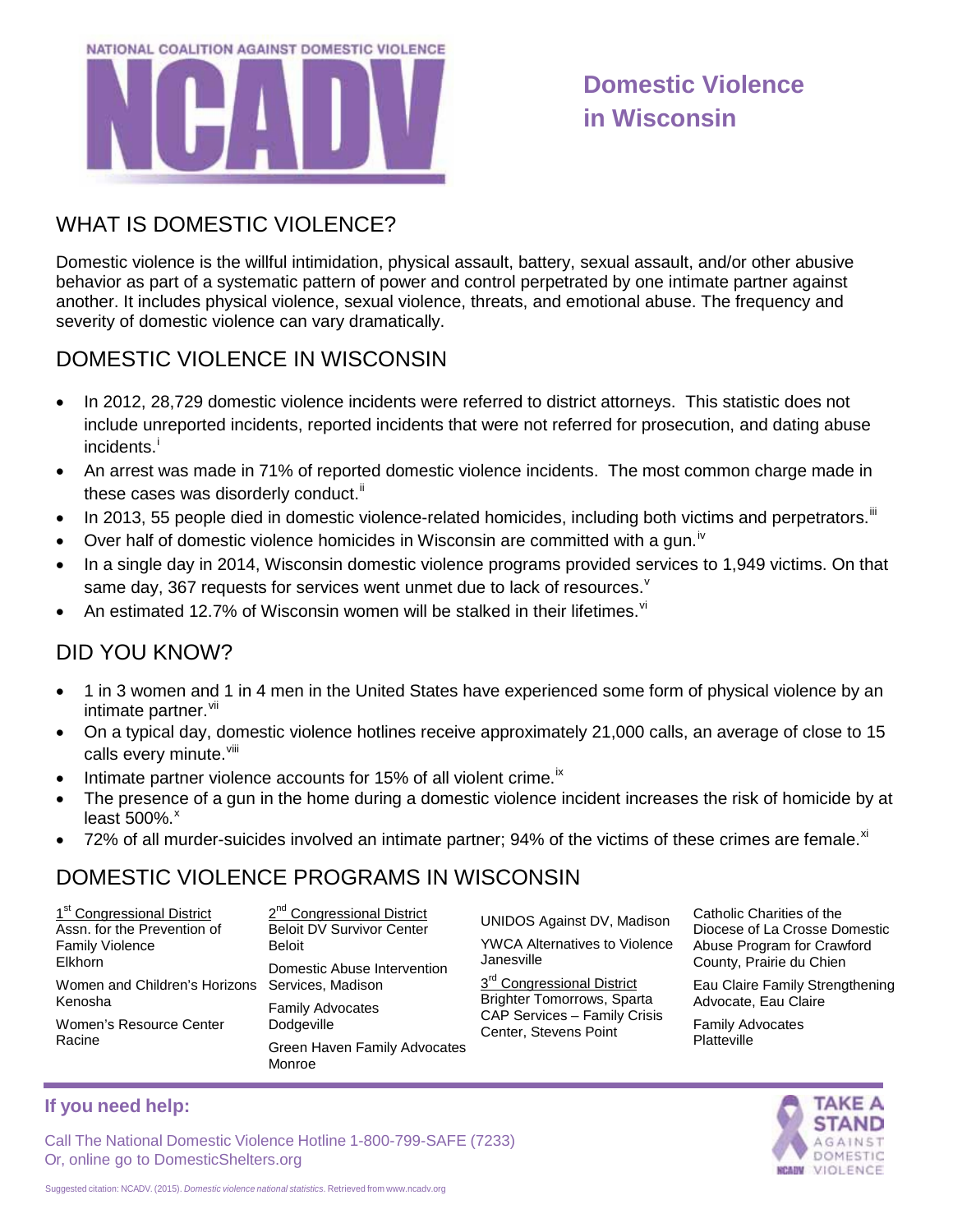

# **Domestic Violence in Wisconsin**

### WHAT IS DOMESTIC VIOLENCE?

Domestic violence is the willful intimidation, physical assault, battery, sexual assault, and/or other abusive behavior as part of a systematic pattern of power and control perpetrated by one intimate partner against another. It includes physical violence, sexual violence, threats, and emotional abuse. The frequency and severity of domestic violence can vary dramatically.

### DOMESTIC VIOLENCE IN WISCONSIN

- In 2012, 28,729 domestic violence incidents were referred to district attorneys. This statistic does not include unreported incidents, reported incidents that were not referred for prosecution, and dating abuse [i](#page-1-0)ncidents.<sup>i</sup>
- An arrest was made in 71% of reported domestic violence incidents. The most common charge made in these cases was disorderly conduct.<sup>[ii](#page-1-1)</sup>
- In 2013, 55 people died in domestic violence-related homicides, including both victims and perpetrators.<sup>[iii](#page-1-2)</sup>
- Over half of domestic violence homicides in Wisconsin are committed with a gun.<sup>[iv](#page-1-3)</sup>
- In a single day in 2014, Wisconsin domestic violence programs provided services to 1,949 victims. On that same day, 367 requests for ser[v](#page-1-4)ices went unmet due to lack of resources. $^{\text{v}}$
- An estimated 12.7% of Wisconsin women will be stalked in their lifetimes. $^{\text{vi}}$  $^{\text{vi}}$  $^{\text{vi}}$

#### DID YOU KNOW?

- 1 in 3 women and 1 in 4 men in the United States have experienced some form of physical violence by an intimate partner.<sup>[vii](#page-1-6)</sup>
- On a typical day, domestic violence hotlines receive approximately 21,000 calls, an average of close to 15 calls every minute.<sup>[viii](#page-1-7)</sup>
- Intimate partner violence accounts for 15% of all violent crime.<sup>[ix](#page-1-8)</sup>
- The presence of a gun in the home during a domestic violence incident increases the risk of homicide by at least 500%.<sup>[x](#page-1-9)</sup>
- 72% of all murder-suicides involved an intimate partner; 94% of the victims of these crimes are female. $^{\chi i}$

#### DOMESTIC VIOLENCE PROGRAMS IN WISCONSIN

| 1 <sup>st</sup> Congressional District                     | 2 <sup>nd</sup> Congressional District        |
|------------------------------------------------------------|-----------------------------------------------|
| Assn. for the Prevention of                                | <b>Beloit DV Survivor Center</b>              |
| <b>Family Violence</b>                                     | <b>Beloit</b>                                 |
| Elkhorn                                                    | Domestic Abuse Intervention                   |
| Women and Children's Horizons Services, Madison<br>Kenosha |                                               |
|                                                            | <b>Family Advocates</b>                       |
| Women's Resource Center<br>Racine                          | Dodgeville                                    |
|                                                            | <b>Green Haven Family Advocates</b><br>Monroe |

UNIDOS Against DV, Madison YWCA Alternatives to Violence Janesville

3<sup>rd</sup> Congressional District Brighter Tomorrows, Sparta CAP Services – Family Crisis Center, Stevens Point

Catholic Charities of the Diocese of La Crosse Domestic Abuse Program for Crawford County, Prairie du Chien

Eau Claire Family Strengthening Advocate, Eau Claire

Family Advocates **Platteville** 



#### **If you need help:**

Call The National Domestic Violence Hotline 1-800-799-SAFE (7233) Or, online go to DomesticShelters.org

Suggested citation: NCADV. (2015). *Domestic violence national statistics*. Retrieved from [www.ncadv.org](http://www.ncadv.org/)